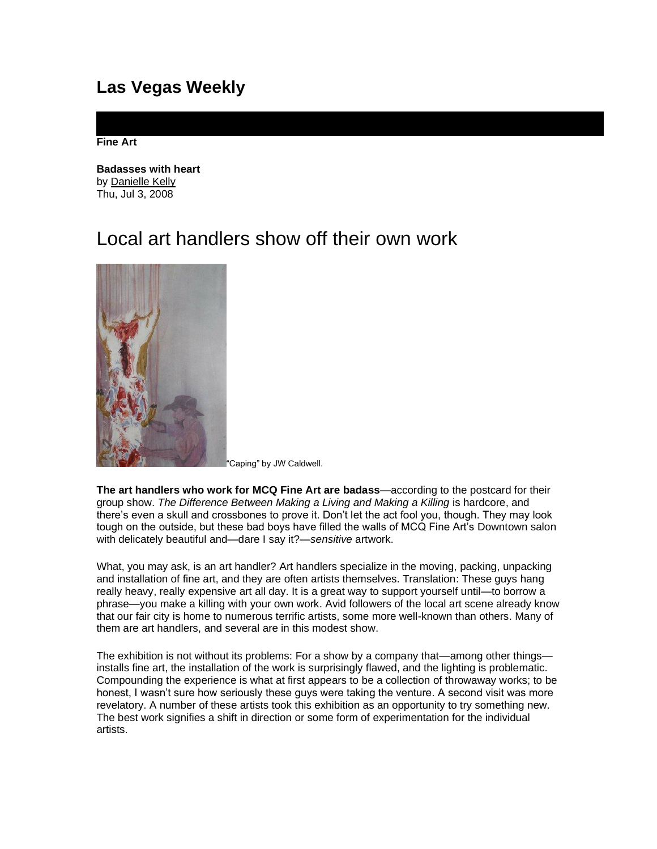## **Las Vegas Weekly**

**Fine Art**

**Badasses with heart**  by [Danielle Kelly](http://www.lasvegasweekly.com/staff/danielle-kelly/)  Thu, Jul 3, 2008

## Local art handlers show off their own work



Caping" by JW Caldwell.

**The art handlers who work for MCQ Fine Art are badass**—according to the postcard for their group show. *The Difference Between Making a Living and Making a Killing* is hardcore, and there's even a skull and crossbones to prove it. Don't let the act fool you, though. They may look tough on the outside, but these bad boys have filled the walls of MCQ Fine Art's Downtown salon with delicately beautiful and—dare I say it?—*sensitive* artwork.

What, you may ask, is an art handler? Art handlers specialize in the moving, packing, unpacking and installation of fine art, and they are often artists themselves. Translation: These guys hang really heavy, really expensive art all day. It is a great way to support yourself until—to borrow a phrase—you make a killing with your own work. Avid followers of the local art scene already know that our fair city is home to numerous terrific artists, some more well-known than others. Many of them are art handlers, and several are in this modest show.

The exhibition is not without its problems: For a show by a company that—among other things installs fine art, the installation of the work is surprisingly flawed, and the lighting is problematic. Compounding the experience is what at first appears to be a collection of throwaway works; to be honest, I wasn't sure how seriously these guys were taking the venture. A second visit was more revelatory. A number of these artists took this exhibition as an opportunity to try something new. The best work signifies a shift in direction or some form of experimentation for the individual artists.